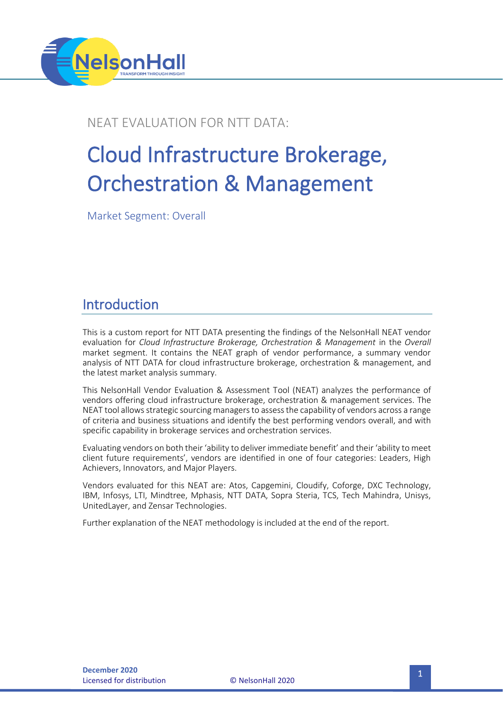

### NEAT EVALUATION FOR NTT DATA:

# Cloud Infrastructure Brokerage, Orchestration & Management

Market Segment: Overall

## Introduction

This is a custom report for NTT DATA presenting the findings of the NelsonHall NEAT vendor evaluation for *Cloud Infrastructure Brokerage, Orchestration & Management* in the *Overall* market segment. It contains the NEAT graph of vendor performance, a summary vendor analysis of NTT DATA for cloud infrastructure brokerage, orchestration & management, and the latest market analysis summary.

This NelsonHall Vendor Evaluation & Assessment Tool (NEAT) analyzes the performance of vendors offering cloud infrastructure brokerage, orchestration & management services. The NEAT tool allows strategic sourcing managers to assess the capability of vendors across a range of criteria and business situations and identify the best performing vendors overall, and with specific capability in brokerage services and orchestration services.

Evaluating vendors on both their 'ability to deliver immediate benefit' and their 'ability to meet client future requirements', vendors are identified in one of four categories: Leaders, High Achievers, Innovators, and Major Players.

Vendors evaluated for this NEAT are: Atos, Capgemini, Cloudify, Coforge, DXC Technology, IBM, Infosys, LTI, Mindtree, Mphasis, NTT DATA, Sopra Steria, TCS, Tech Mahindra, Unisys, UnitedLayer, and Zensar Technologies.

Further explanation of the NEAT methodology is included at the end of the report.

**Licensed for distribution**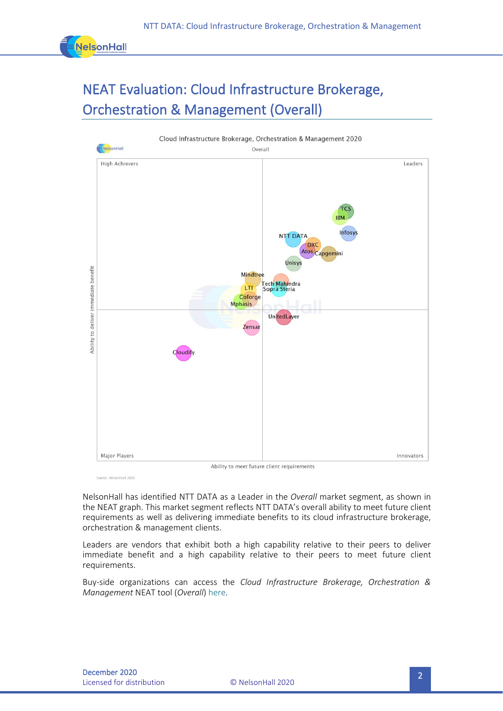

# NEAT Evaluation: Cloud Infrastructure Brokerage, Orchestration & Management (Overall)



Source: NelsonHall 2020

NelsonHall has identified NTT DATA as a Leader in the *Overall* market segment, as shown in the NEAT graph. This market segment reflects NTT DATA's overall ability to meet future client requirements as well as delivering immediate benefits to its cloud infrastructure brokerage, orchestration & management clients.

Leaders are vendors that exhibit both a high capability relative to their peers to deliver immediate benefit and a high capability relative to their peers to meet future client requirements.

Buy-side organizations can access the *Cloud Infrastructure Brokerage, Orchestration & Management* NEAT tool (*Overall*[\) here.](https://research.nelson-hall.com/sourcing-expertise/neat-reports/?avpage-views=neat&avpage-views=neat&NEATaction=viewProject&project=257)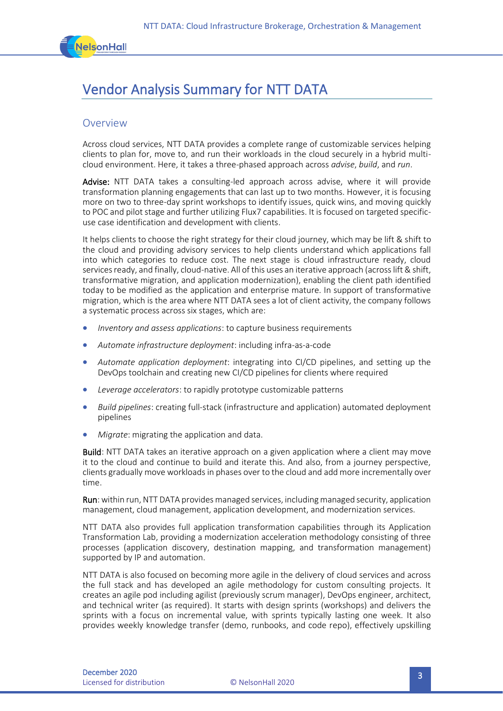

# Vendor Analysis Summary for NTT DATA

#### Overview

Across cloud services, NTT DATA provides a complete range of customizable services helping clients to plan for, move to, and run their workloads in the cloud securely in a hybrid multicloud environment. Here, it takes a three-phased approach across *advise*, *build*, and *run*.

Advise: NTT DATA takes a consulting-led approach across advise, where it will provide transformation planning engagements that can last up to two months. However, it is focusing more on two to three-day sprint workshops to identify issues, quick wins, and moving quickly to POC and pilot stage and further utilizing Flux7 capabilities. It is focused on targeted specificuse case identification and development with clients.

It helps clients to choose the right strategy for their cloud journey, which may be lift & shift to the cloud and providing advisory services to help clients understand which applications fall into which categories to reduce cost. The next stage is cloud infrastructure ready, cloud services ready, and finally, cloud-native. All of this uses an iterative approach (across lift & shift, transformative migration, and application modernization), enabling the client path identified today to be modified as the application and enterprise mature. In support of transformative migration, which is the area where NTT DATA sees a lot of client activity, the company follows a systematic process across six stages, which are:

- *Inventory and assess applications*: to capture business requirements
- *Automate infrastructure deployment*: including infra-as-a-code
- *Automate application deployment*: integrating into CI/CD pipelines, and setting up the DevOps toolchain and creating new CI/CD pipelines for clients where required
- *Leverage accelerators*: to rapidly prototype customizable patterns
- *Build pipelines*: creating full-stack (infrastructure and application) automated deployment pipelines
- *Migrate*: migrating the application and data.

Build: NTT DATA takes an iterative approach on a given application where a client may move it to the cloud and continue to build and iterate this. And also, from a journey perspective, clients gradually move workloads in phases over to the cloud and add more incrementally over time.

Run: within run, NTT DATA provides managed services, including managed security, application management, cloud management, application development, and modernization services.

NTT DATA also provides full application transformation capabilities through its Application Transformation Lab, providing a modernization acceleration methodology consisting of three processes (application discovery, destination mapping, and transformation management) supported by IP and automation.

NTT DATA is also focused on becoming more agile in the delivery of cloud services and across the full stack and has developed an agile methodology for custom consulting projects. It creates an agile pod including agilist (previously scrum manager), DevOps engineer, architect, and technical writer (as required). It starts with design sprints (workshops) and delivers the sprints with a focus on incremental value, with sprints typically lasting one week. It also provides weekly knowledge transfer (demo, runbooks, and code repo), effectively upskilling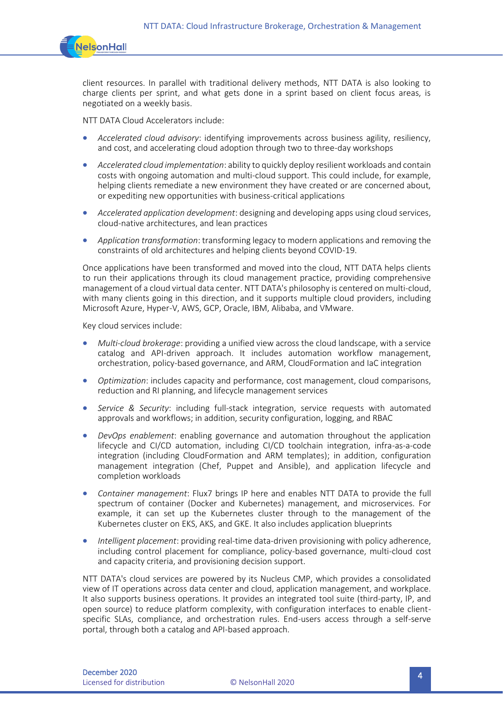

client resources. In parallel with traditional delivery methods, NTT DATA is also looking to charge clients per sprint, and what gets done in a sprint based on client focus areas, is negotiated on a weekly basis.

NTT DATA Cloud Accelerators include:

- *Accelerated cloud advisory*: identifying improvements across business agility, resiliency, and cost, and accelerating cloud adoption through two to three-day workshops
- *Accelerated cloud implementation*: ability to quickly deploy resilient workloads and contain costs with ongoing automation and multi-cloud support. This could include, for example, helping clients remediate a new environment they have created or are concerned about, or expediting new opportunities with business-critical applications
- *Accelerated application development*: designing and developing apps using cloud services, cloud-native architectures, and lean practices
- *Application transformation*: transforming legacy to modern applications and removing the constraints of old architectures and helping clients beyond COVID-19.

Once applications have been transformed and moved into the cloud, NTT DATA helps clients to run their applications through its cloud management practice, providing comprehensive management of a cloud virtual data center. NTT DATA's philosophy is centered on multi-cloud, with many clients going in this direction, and it supports multiple cloud providers, including Microsoft Azure, Hyper-V, AWS, GCP, Oracle, IBM, Alibaba, and VMware.

Key cloud services include:

- *Multi-cloud brokerage*: providing a unified view across the cloud landscape, with a service catalog and API-driven approach. It includes automation workflow management, orchestration, policy-based governance, and ARM, CloudFormation and IaC integration
- *Optimization*: includes capacity and performance, cost management, cloud comparisons, reduction and RI planning, and lifecycle management services
- *Service & Security*: including full-stack integration, service requests with automated approvals and workflows; in addition, security configuration, logging, and RBAC
- *DevOps enablement*: enabling governance and automation throughout the application lifecycle and CI/CD automation, including CI/CD toolchain integration, infra-as-a-code integration (including CloudFormation and ARM templates); in addition, configuration management integration (Chef, Puppet and Ansible), and application lifecycle and completion workloads
- *Container management*: Flux7 brings IP here and enables NTT DATA to provide the full spectrum of container (Docker and Kubernetes) management, and microservices. For example, it can set up the Kubernetes cluster through to the management of the Kubernetes cluster on EKS, AKS, and GKE. It also includes application blueprints
- *Intelligent placement*: providing real-time data-driven provisioning with policy adherence, including control placement for compliance, policy-based governance, multi-cloud cost and capacity criteria, and provisioning decision support.

NTT DATA's cloud services are powered by its Nucleus CMP, which provides a consolidated view of IT operations across data center and cloud, application management, and workplace. It also supports business operations. It provides an integrated tool suite (third-party, IP, and open source) to reduce platform complexity, with configuration interfaces to enable clientspecific SLAs, compliance, and orchestration rules. End-users access through a self-serve portal, through both a catalog and API-based approach.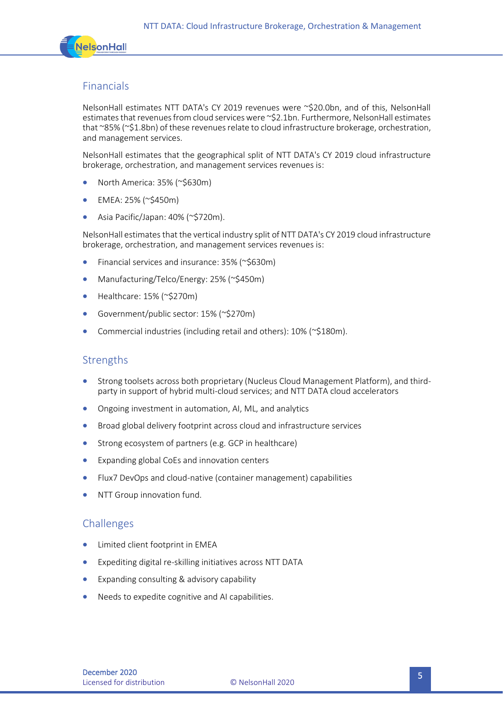

#### Financials

NelsonHall estimates NTT DATA's CY 2019 revenues were ~\$20.0bn, and of this, NelsonHall estimates that revenues from cloud services were ~\$2.1bn. Furthermore, NelsonHall estimates that ~85% (~\$1.8bn) of these revenues relate to cloud infrastructure brokerage, orchestration, and management services.

NelsonHall estimates that the geographical split of NTT DATA's CY 2019 cloud infrastructure brokerage, orchestration, and management services revenues is:

- North America: 35% (~\$630m)
- EMEA: 25% (~\$450m)
- Asia Pacific/Japan: 40% (~\$720m).

NelsonHall estimates that the vertical industry split of NTT DATA's CY 2019 cloud infrastructure brokerage, orchestration, and management services revenues is:

- Financial services and insurance: 35% (~\$630m)
- Manufacturing/Telco/Energy: 25% (~\$450m)
- Healthcare: 15% (~\$270m)
- Government/public sector: 15% (~\$270m)
- Commercial industries (including retail and others): 10% (~\$180m).

#### **Strengths**

- Strong toolsets across both proprietary (Nucleus Cloud Management Platform), and thirdparty in support of hybrid multi-cloud services; and NTT DATA cloud accelerators
- Ongoing investment in automation, AI, ML, and analytics
- Broad global delivery footprint across cloud and infrastructure services
- Strong ecosystem of partners (e.g. GCP in healthcare)
- Expanding global CoEs and innovation centers
- Flux7 DevOps and cloud-native (container management) capabilities
- NTT Group innovation fund.

#### Challenges

- Limited client footprint in EMEA
- Expediting digital re-skilling initiatives across NTT DATA
- Expanding consulting & advisory capability
- Needs to expedite cognitive and AI capabilities.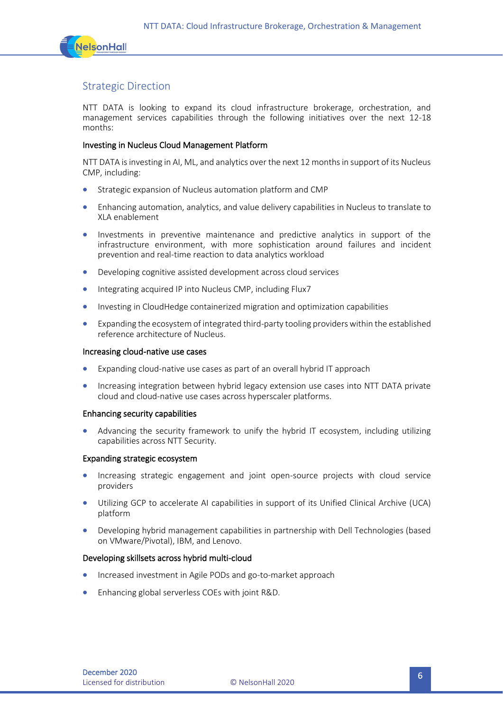

#### Strategic Direction

NTT DATA is looking to expand its cloud infrastructure brokerage, orchestration, and management services capabilities through the following initiatives over the next 12-18 months:

#### Investing in Nucleus Cloud Management Platform

NTT DATA is investing in AI, ML, and analytics over the next 12 months in support of its Nucleus CMP, including:

- Strategic expansion of Nucleus automation platform and CMP
- Enhancing automation, analytics, and value delivery capabilities in Nucleus to translate to XLA enablement
- Investments in preventive maintenance and predictive analytics in support of the infrastructure environment, with more sophistication around failures and incident prevention and real-time reaction to data analytics workload
- Developing cognitive assisted development across cloud services
- Integrating acquired IP into Nucleus CMP, including Flux7
- Investing in CloudHedge containerized migration and optimization capabilities
- Expanding the ecosystem of integrated third-party tooling providers within the established reference architecture of Nucleus.

#### Increasing cloud-native use cases

- Expanding cloud-native use cases as part of an overall hybrid IT approach
- Increasing integration between hybrid legacy extension use cases into NTT DATA private cloud and cloud-native use cases across hyperscaler platforms.

#### Enhancing security capabilities

• Advancing the security framework to unify the hybrid IT ecosystem, including utilizing capabilities across NTT Security.

#### Expanding strategic ecosystem

- Increasing strategic engagement and joint open-source projects with cloud service providers
- Utilizing GCP to accelerate AI capabilities in support of its Unified Clinical Archive (UCA) platform
- Developing hybrid management capabilities in partnership with Dell Technologies (based on VMware/Pivotal), IBM, and Lenovo.

#### Developing skillsets across hybrid multi-cloud

- Increased investment in Agile PODs and go-to-market approach
- Enhancing global serverless COEs with joint R&D.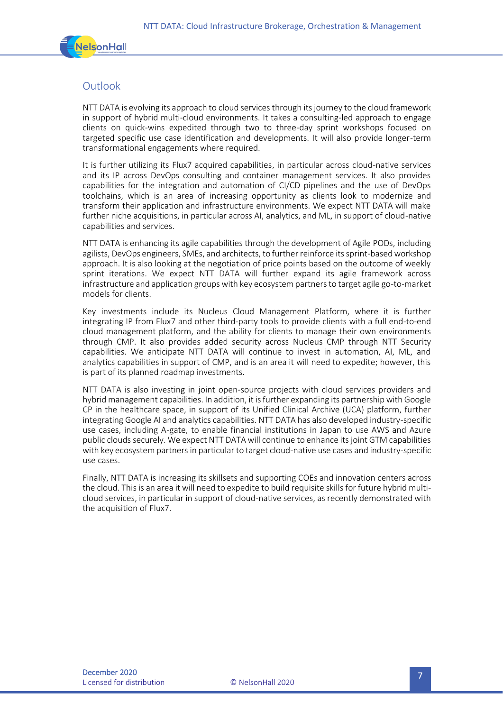

#### **Outlook**

NTT DATA is evolving its approach to cloud services through its journey to the cloud framework in support of hybrid multi-cloud environments. It takes a consulting-led approach to engage clients on quick-wins expedited through two to three-day sprint workshops focused on targeted specific use case identification and developments. It will also provide longer-term transformational engagements where required.

It is further utilizing its Flux7 acquired capabilities, in particular across cloud-native services and its IP across DevOps consulting and container management services. It also provides capabilities for the integration and automation of CI/CD pipelines and the use of DevOps toolchains, which is an area of increasing opportunity as clients look to modernize and transform their application and infrastructure environments. We expect NTT DATA will make further niche acquisitions, in particular across AI, analytics, and ML, in support of cloud-native capabilities and services.

NTT DATA is enhancing its agile capabilities through the development of Agile PODs, including agilists, DevOps engineers, SMEs, and architects, to further reinforce its sprint-based workshop approach. It is also looking at the negotiation of price points based on the outcome of weekly sprint iterations. We expect NTT DATA will further expand its agile framework across infrastructure and application groups with key ecosystem partners to target agile go-to-market models for clients.

Key investments include its Nucleus Cloud Management Platform, where it is further integrating IP from Flux7 and other third-party tools to provide clients with a full end-to-end cloud management platform, and the ability for clients to manage their own environments through CMP. It also provides added security across Nucleus CMP through NTT Security capabilities. We anticipate NTT DATA will continue to invest in automation, AI, ML, and analytics capabilities in support of CMP, and is an area it will need to expedite; however, this is part of its planned roadmap investments.

NTT DATA is also investing in joint open-source projects with cloud services providers and hybrid management capabilities. In addition, it is further expanding its partnership with Google CP in the healthcare space, in support of its Unified Clinical Archive (UCA) platform, further integrating Google AI and analytics capabilities. NTT DATA has also developed industry-specific use cases, including A-gate, to enable financial institutions in Japan to use AWS and Azure public clouds securely. We expect NTT DATA will continue to enhance its joint GTM capabilities with key ecosystem partners in particular to target cloud-native use cases and industry-specific use cases.

Finally, NTT DATA is increasing its skillsets and supporting COEs and innovation centers across the cloud. This is an area it will need to expedite to build requisite skills for future hybrid multicloud services, in particular in support of cloud-native services, as recently demonstrated with the acquisition of Flux7.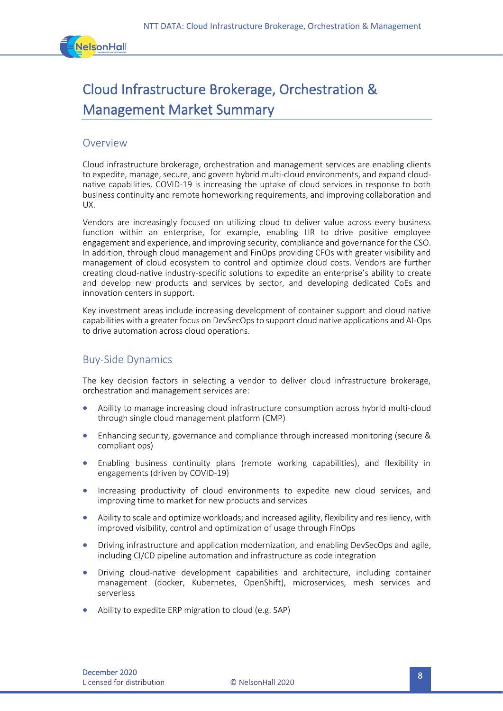

# Cloud Infrastructure Brokerage, Orchestration & Management Market Summary

#### Overview

Cloud infrastructure brokerage, orchestration and management services are enabling clients to expedite, manage, secure, and govern hybrid multi-cloud environments, and expand cloudnative capabilities. COVID-19 is increasing the uptake of cloud services in response to both business continuity and remote homeworking requirements, and improving collaboration and UX.

Vendors are increasingly focused on utilizing cloud to deliver value across every business function within an enterprise, for example, enabling HR to drive positive employee engagement and experience, and improving security, compliance and governance for the CSO. In addition, through cloud management and FinOps providing CFOs with greater visibility and management of cloud ecosystem to control and optimize cloud costs. Vendors are further creating cloud-native industry-specific solutions to expedite an enterprise's ability to create and develop new products and services by sector, and developing dedicated CoEs and innovation centers in support.

Key investment areas include increasing development of container support and cloud native capabilities with a greater focus on DevSecOps to support cloud native applications and AI-Ops to drive automation across cloud operations.

#### Buy-Side Dynamics

The key decision factors in selecting a vendor to deliver cloud infrastructure brokerage, orchestration and management services are:

- Ability to manage increasing cloud infrastructure consumption across hybrid multi-cloud through single cloud management platform (CMP)
- Enhancing security, governance and compliance through increased monitoring (secure & compliant ops)
- Enabling business continuity plans (remote working capabilities), and flexibility in engagements (driven by COVID-19)
- Increasing productivity of cloud environments to expedite new cloud services, and improving time to market for new products and services
- Ability to scale and optimize workloads; and increased agility, flexibility and resiliency, with improved visibility, control and optimization of usage through FinOps
- Driving infrastructure and application modernization, and enabling DevSecOps and agile, including CI/CD pipeline automation and infrastructure as code integration
- Driving cloud-native development capabilities and architecture, including container management (docker, Kubernetes, OpenShift), microservices, mesh services and serverless
- Ability to expedite ERP migration to cloud (e.g. SAP)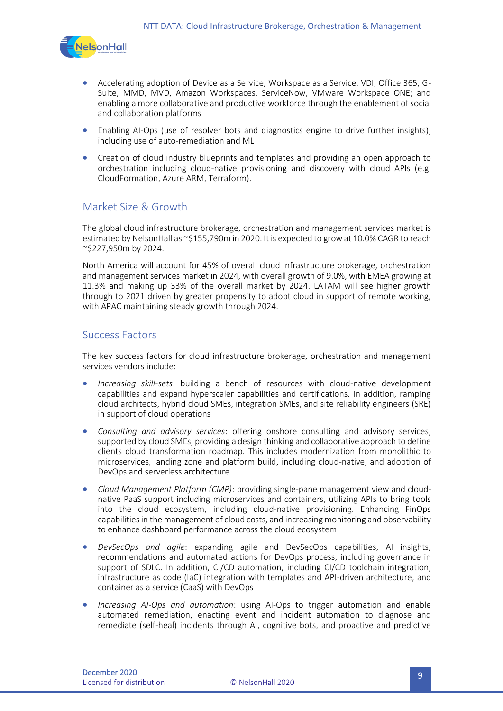

- Accelerating adoption of Device as a Service, Workspace as a Service, VDI, Office 365, G-Suite, MMD, MVD, Amazon Workspaces, ServiceNow, VMware Workspace ONE; and enabling a more collaborative and productive workforce through the enablement of social and collaboration platforms
- Enabling AI-Ops (use of resolver bots and diagnostics engine to drive further insights), including use of auto-remediation and ML
- Creation of cloud industry blueprints and templates and providing an open approach to orchestration including cloud-native provisioning and discovery with cloud APIs (e.g. CloudFormation, Azure ARM, Terraform).

#### Market Size & Growth

The global cloud infrastructure brokerage, orchestration and management services market is estimated by NelsonHall as ~\$155,790m in 2020. It is expected to grow at 10.0% CAGR to reach ~\$227,950m by 2024.

North America will account for 45% of overall cloud infrastructure brokerage, orchestration and management services market in 2024, with overall growth of 9.0%, with EMEA growing at 11.3% and making up 33% of the overall market by 2024. LATAM will see higher growth through to 2021 driven by greater propensity to adopt cloud in support of remote working, with APAC maintaining steady growth through 2024.

#### Success Factors

The key success factors for cloud infrastructure brokerage, orchestration and management services vendors include:

- *Increasing skill-sets*: building a bench of resources with cloud-native development capabilities and expand hyperscaler capabilities and certifications. In addition, ramping cloud architects, hybrid cloud SMEs, integration SMEs, and site reliability engineers (SRE) in support of cloud operations
- *Consulting and advisory services*: offering onshore consulting and advisory services, supported by cloud SMEs, providing a design thinking and collaborative approach to define clients cloud transformation roadmap. This includes modernization from monolithic to microservices, landing zone and platform build, including cloud-native, and adoption of DevOps and serverless architecture
- *Cloud Management Platform (CMP)*: providing single-pane management view and cloudnative PaaS support including microservices and containers, utilizing APIs to bring tools into the cloud ecosystem, including cloud-native provisioning. Enhancing FinOps capabilities in the management of cloud costs, and increasing monitoring and observability to enhance dashboard performance across the cloud ecosystem
- *DevSecOps and agile*: expanding agile and DevSecOps capabilities, AI insights, recommendations and automated actions for DevOps process, including governance in support of SDLC. In addition, CI/CD automation, including CI/CD toolchain integration, infrastructure as code (IaC) integration with templates and API-driven architecture, and container as a service (CaaS) with DevOps
- *Increasing AI-Ops and automation*: using AI-Ops to trigger automation and enable automated remediation, enacting event and incident automation to diagnose and remediate (self-heal) incidents through AI, cognitive bots, and proactive and predictive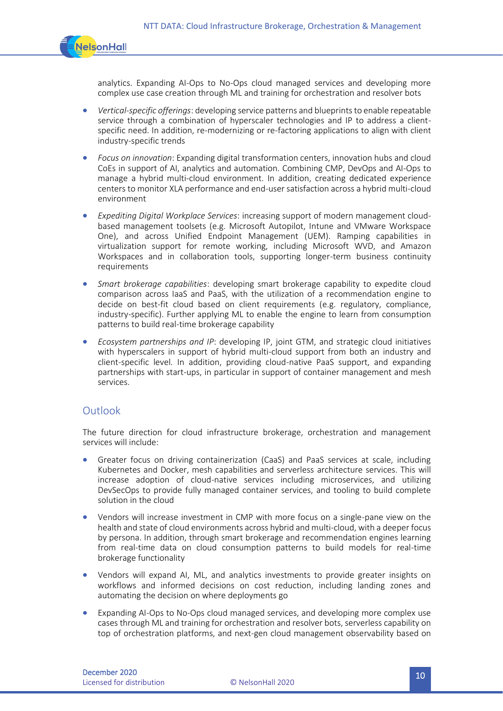

analytics. Expanding AI-Ops to No-Ops cloud managed services and developing more complex use case creation through ML and training for orchestration and resolver bots

- *Vertical-specific offerings*: developing service patterns and blueprints to enable repeatable service through a combination of hyperscaler technologies and IP to address a clientspecific need. In addition, re-modernizing or re-factoring applications to align with client industry-specific trends
- *Focus on innovation*: Expanding digital transformation centers, innovation hubs and cloud CoEs in support of AI, analytics and automation. Combining CMP, DevOps and AI-Ops to manage a hybrid multi-cloud environment. In addition, creating dedicated experience centers to monitor XLA performance and end-user satisfaction across a hybrid multi-cloud environment
- *Expediting Digital Workplace Services*: increasing support of modern management cloudbased management toolsets (e.g. Microsoft Autopilot, Intune and VMware Workspace One), and across Unified Endpoint Management (UEM). Ramping capabilities in virtualization support for remote working, including Microsoft WVD, and Amazon Workspaces and in collaboration tools, supporting longer-term business continuity requirements
- *Smart brokerage capabilities*: developing smart brokerage capability to expedite cloud comparison across IaaS and PaaS, with the utilization of a recommendation engine to decide on best-fit cloud based on client requirements (e.g. regulatory, compliance, industry-specific). Further applying ML to enable the engine to learn from consumption patterns to build real-time brokerage capability
- *Ecosystem partnerships and IP*: developing IP, joint GTM, and strategic cloud initiatives with hyperscalers in support of hybrid multi-cloud support from both an industry and client-specific level. In addition, providing cloud-native PaaS support, and expanding partnerships with start-ups, in particular in support of container management and mesh services.

#### **Outlook**

The future direction for cloud infrastructure brokerage, orchestration and management services will include:

- Greater focus on driving containerization (CaaS) and PaaS services at scale, including Kubernetes and Docker, mesh capabilities and serverless architecture services. This will increase adoption of cloud-native services including microservices, and utilizing DevSecOps to provide fully managed container services, and tooling to build complete solution in the cloud
- Vendors will increase investment in CMP with more focus on a single-pane view on the health and state of cloud environments across hybrid and multi-cloud, with a deeper focus by persona. In addition, through smart brokerage and recommendation engines learning from real-time data on cloud consumption patterns to build models for real-time brokerage functionality
- Vendors will expand AI, ML, and analytics investments to provide greater insights on workflows and informed decisions on cost reduction, including landing zones and automating the decision on where deployments go
- Expanding AI-Ops to No-Ops cloud managed services, and developing more complex use cases through ML and training for orchestration and resolver bots, serverless capability on top of orchestration platforms, and next-gen cloud management observability based on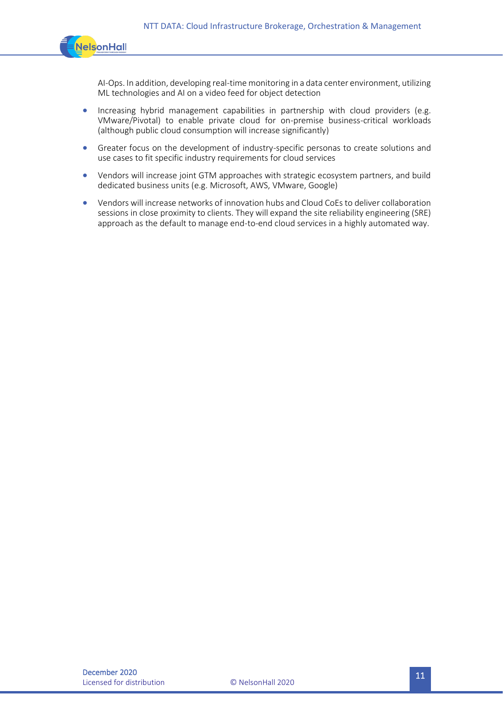

AI-Ops. In addition, developing real-time monitoring in a data center environment, utilizing ML technologies and AI on a video feed for object detection

- Increasing hybrid management capabilities in partnership with cloud providers (e.g. VMware/Pivotal) to enable private cloud for on-premise business-critical workloads (although public cloud consumption will increase significantly)
- Greater focus on the development of industry-specific personas to create solutions and use cases to fit specific industry requirements for cloud services
- Vendors will increase joint GTM approaches with strategic ecosystem partners, and build dedicated business units (e.g. Microsoft, AWS, VMware, Google)
- Vendors will increase networks of innovation hubs and Cloud CoEs to deliver collaboration sessions in close proximity to clients. They will expand the site reliability engineering (SRE) approach as the default to manage end-to-end cloud services in a highly automated way.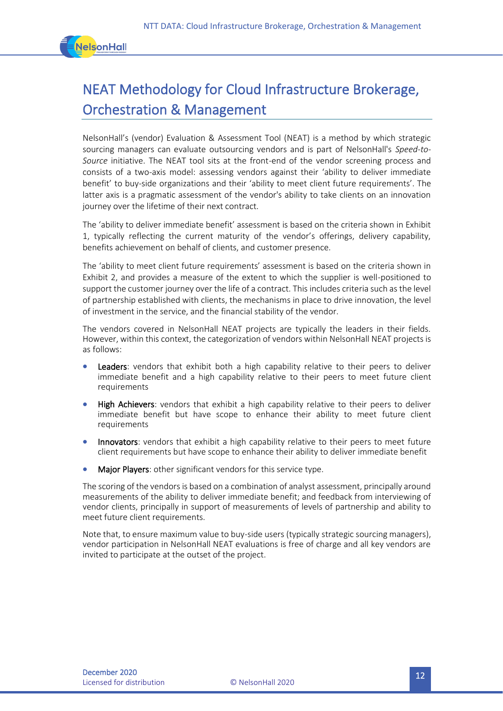

# NEAT Methodology for Cloud Infrastructure Brokerage, Orchestration & Management

NelsonHall's (vendor) Evaluation & Assessment Tool (NEAT) is a method by which strategic sourcing managers can evaluate outsourcing vendors and is part of NelsonHall's *Speed-to-Source* initiative. The NEAT tool sits at the front-end of the vendor screening process and consists of a two-axis model: assessing vendors against their 'ability to deliver immediate benefit' to buy-side organizations and their 'ability to meet client future requirements'. The latter axis is a pragmatic assessment of the vendor's ability to take clients on an innovation journey over the lifetime of their next contract.

The 'ability to deliver immediate benefit' assessment is based on the criteria shown in Exhibit 1, typically reflecting the current maturity of the vendor's offerings, delivery capability, benefits achievement on behalf of clients, and customer presence.

The 'ability to meet client future requirements' assessment is based on the criteria shown in Exhibit 2, and provides a measure of the extent to which the supplier is well-positioned to support the customer journey over the life of a contract. This includes criteria such as the level of partnership established with clients, the mechanisms in place to drive innovation, the level of investment in the service, and the financial stability of the vendor.

The vendors covered in NelsonHall NEAT projects are typically the leaders in their fields. However, within this context, the categorization of vendors within NelsonHall NEAT projects is as follows:

- Leaders: vendors that exhibit both a high capability relative to their peers to deliver immediate benefit and a high capability relative to their peers to meet future client requirements
- **High Achievers:** vendors that exhibit a high capability relative to their peers to deliver immediate benefit but have scope to enhance their ability to meet future client requirements
- Innovators: vendors that exhibit a high capability relative to their peers to meet future client requirements but have scope to enhance their ability to deliver immediate benefit
- Major Players: other significant vendors for this service type.

The scoring of the vendors is based on a combination of analyst assessment, principally around measurements of the ability to deliver immediate benefit; and feedback from interviewing of vendor clients, principally in support of measurements of levels of partnership and ability to meet future client requirements.

Note that, to ensure maximum value to buy-side users (typically strategic sourcing managers), vendor participation in NelsonHall NEAT evaluations is free of charge and all key vendors are invited to participate at the outset of the project.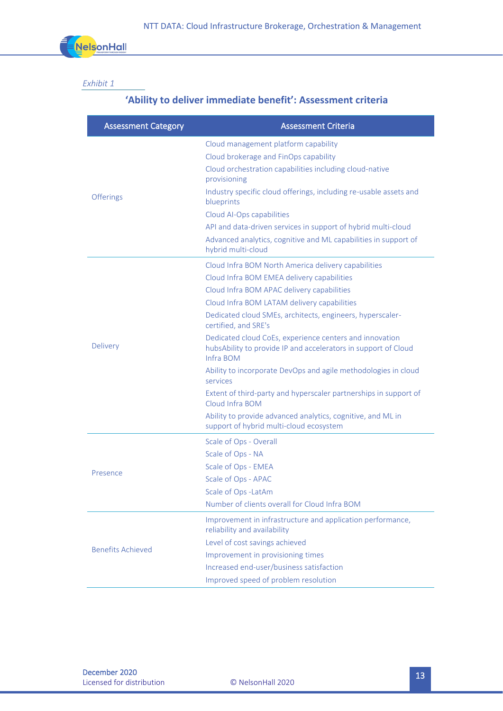

#### *Exhibit 1*

### **'Ability to deliver immediate benefit': Assessment criteria**

| <b>Assessment Category</b> | <b>Assessment Criteria</b>                                                                                                             |
|----------------------------|----------------------------------------------------------------------------------------------------------------------------------------|
| <b>Offerings</b>           | Cloud management platform capability                                                                                                   |
|                            | Cloud brokerage and FinOps capability                                                                                                  |
|                            | Cloud orchestration capabilities including cloud-native<br>provisioning                                                                |
|                            | Industry specific cloud offerings, including re-usable assets and<br>blueprints                                                        |
|                            | Cloud Al-Ops capabilities                                                                                                              |
|                            | API and data-driven services in support of hybrid multi-cloud                                                                          |
|                            | Advanced analytics, cognitive and ML capabilities in support of<br>hybrid multi-cloud                                                  |
| Delivery                   | Cloud Infra BOM North America delivery capabilities                                                                                    |
|                            | Cloud Infra BOM EMEA delivery capabilities                                                                                             |
|                            | Cloud Infra BOM APAC delivery capabilities                                                                                             |
|                            | Cloud Infra BOM LATAM delivery capabilities                                                                                            |
|                            | Dedicated cloud SMEs, architects, engineers, hyperscaler-<br>certified, and SRE's                                                      |
|                            | Dedicated cloud CoEs, experience centers and innovation<br>hubsAbility to provide IP and accelerators in support of Cloud<br>Infra BOM |
|                            | Ability to incorporate DevOps and agile methodologies in cloud<br>services                                                             |
|                            | Extent of third-party and hyperscaler partnerships in support of<br>Cloud Infra BOM                                                    |
|                            | Ability to provide advanced analytics, cognitive, and ML in<br>support of hybrid multi-cloud ecosystem                                 |
| Presence                   | Scale of Ops - Overall                                                                                                                 |
|                            | Scale of Ops - NA                                                                                                                      |
|                            | Scale of Ops - EMEA                                                                                                                    |
|                            | Scale of Ops - APAC                                                                                                                    |
|                            | Scale of Ops -LatAm                                                                                                                    |
|                            | Number of clients overall for Cloud Infra BOM                                                                                          |
| <b>Benefits Achieved</b>   | Improvement in infrastructure and application performance,<br>reliability and availability                                             |
|                            | Level of cost savings achieved                                                                                                         |
|                            | Improvement in provisioning times                                                                                                      |
|                            | Increased end-user/business satisfaction                                                                                               |
|                            | Improved speed of problem resolution                                                                                                   |